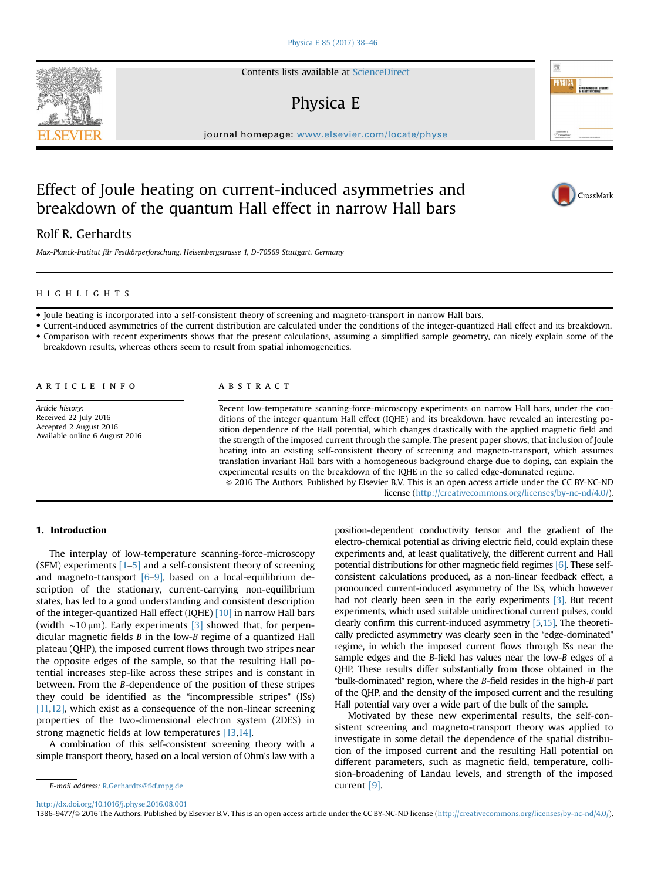Contents lists available at [ScienceDirect](www.sciencedirect.com/science/journal/13869477)

# Physica E

journal homepage: <www.elsevier.com/locate/physe>

# Effect of Joule heating on current-induced asymmetries and breakdown of the quantum Hall effect in narrow Hall bars

Rolf R. Gerhardts

Max-Planck-Institut für Festkörperforschung, Heisenbergstrasse 1, D-70569 Stuttgart, Germany

## HIGHLIGHTS

Joule heating is incorporated into a self-consistent theory of screening and magneto-transport in narrow Hall bars.

 Current-induced asymmetries of the current distribution are calculated under the conditions of the integer-quantized Hall effect and its breakdown. Comparison with recent experiments shows that the present calculations, assuming a simplified sample geometry, can nicely explain some of the breakdown results, whereas others seem to result from spatial inhomogeneities.

#### article info

Article history: Received 22 July 2016 Accepted 2 August 2016 Available online 6 August 2016

## **ABSTRACT**

Recent low-temperature scanning-force-microscopy experiments on narrow Hall bars, under the conditions of the integer quantum Hall effect (IQHE) and its breakdown, have revealed an interesting position dependence of the Hall potential, which changes drastically with the applied magnetic field and the strength of the imposed current through the sample. The present paper shows, that inclusion of Joule heating into an existing self-consistent theory of screening and magneto-transport, which assumes translation invariant Hall bars with a homogeneous background charge due to doping, can explain the experimental results on the breakdown of the IQHE in the so called edge-dominated regime.

& 2016 The Authors. Published by Elsevier B.V. This is an open access article under the CC BY-NC-ND license (http://creativecommons.org/licenses/by-nc-nd/4.0/).

## 1. Introduction

The interplay of low-temperature scanning-force-microscopy (SFM) experiments  $[1-5]$  $[1-5]$  $[1-5]$  and a self-consistent theory of screening and magneto-transport [\[6](#page-8-0)–[9\],](#page-8-0) based on a local-equilibrium description of the stationary, current-carrying non-equilibrium states, has led to a good understanding and consistent description of the integer-quantized Hall effect (IQHE) [\[10\]](#page-8-0) in narrow Hall bars (width  $\sim$ 10 µm). Early experiments [\[3\]](#page-8-0) showed that, for perpendicular magnetic fields B in the low-B regime of a quantized Hall plateau (QHP), the imposed current flows through two stripes near the opposite edges of the sample, so that the resulting Hall potential increases step-like across these stripes and is constant in between. From the B-dependence of the position of these stripes they could be identified as the "incompressible stripes" (ISs) [\[11,12\]](#page-8-0), which exist as a consequence of the non-linear screening properties of the two-dimensional electron system (2DES) in strong magnetic fields at low temperatures [\[13,14\].](#page-8-0)

A combination of this self-consistent screening theory with a simple transport theory, based on a local version of Ohm's law with a position-dependent conductivity tensor and the gradient of the electro-chemical potential as driving electric field, could explain these experiments and, at least qualitatively, the different current and Hall potential distributions for other magnetic field regimes [\[6\].](#page-8-0) These selfconsistent calculations produced, as a non-linear feedback effect, a pronounced current-induced asymmetry of the ISs, which however had not clearly been seen in the early experiments [\[3\].](#page-8-0) But recent experiments, which used suitable unidirectional current pulses, could clearly confirm this current-induced asymmetry [\[5,15\]](#page-8-0). The theoretically predicted asymmetry was clearly seen in the "edge-dominated" regime, in which the imposed current flows through ISs near the sample edges and the B-field has values near the low-B edges of a QHP. These results differ substantially from those obtained in the "bulk-dominated" region, where the B-field resides in the high-B part of the QHP, and the density of the imposed current and the resulting Hall potential vary over a wide part of the bulk of the sample.

Motivated by these new experimental results, the self-consistent screening and magneto-transport theory was applied to investigate in some detail the dependence of the spatial distribution of the imposed current and the resulting Hall potential on different parameters, such as magnetic field, temperature, collision-broadening of Landau levels, and strength of the imposed current [\[9\].](#page-8-0)

<http://dx.doi.org/10.1016/j.physe.2016.08.001>

1386-9477/& 2016 The Authors. Published by Elsevier B.V. This is an open access article under the CC BY-NC-ND license (http://creativecommons.org/licenses/by-nc-nd/4.0/).







E-mail address: [R.Gerhardts@fkf.mpg.de](mailto:R.Gerhardts@fkf.mpg.de)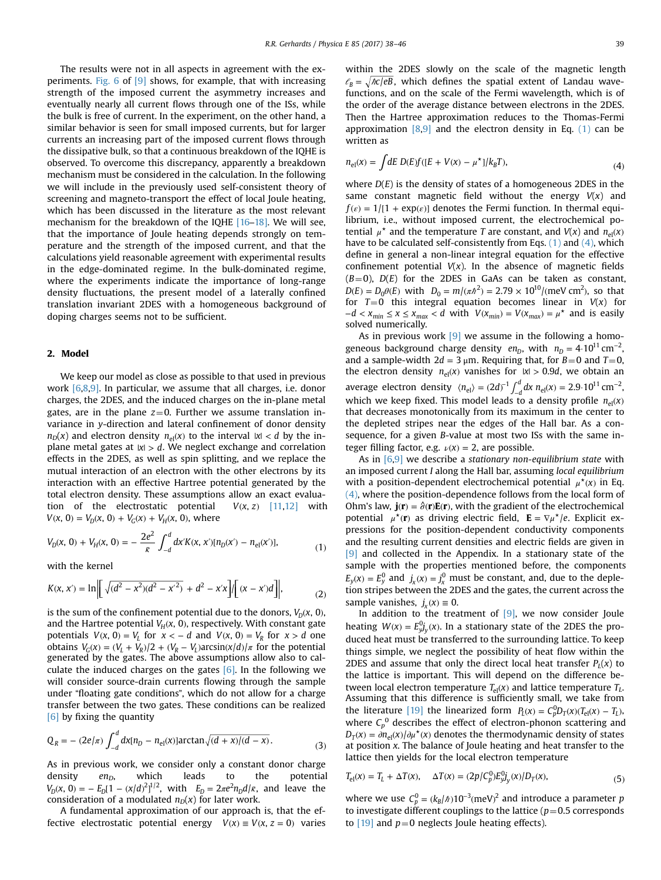<span id="page-1-0"></span>The results were not in all aspects in agreement with the experiments. [Fig. 6](#page-5-0) of [\[9\]](#page-8-0) shows, for example, that with increasing strength of the imposed current the asymmetry increases and eventually nearly all current flows through one of the ISs, while the bulk is free of current. In the experiment, on the other hand, a similar behavior is seen for small imposed currents, but for larger currents an increasing part of the imposed current flows through the dissipative bulk, so that a continuous breakdown of the IQHE is observed. To overcome this discrepancy, apparently a breakdown mechanism must be considered in the calculation. In the following we will include in the previously used self-consistent theory of screening and magneto-transport the effect of local Joule heating, which has been discussed in the literature as the most relevant mechanism for the breakdown of the IQHE [\[16](#page-8-0)–[18\]](#page-8-0). We will see, that the importance of Joule heating depends strongly on temperature and the strength of the imposed current, and that the calculations yield reasonable agreement with experimental results in the edge-dominated regime. In the bulk-dominated regime, where the experiments indicate the importance of long-range density fluctuations, the present model of a laterally confined translation invariant 2DES with a homogeneous background of doping charges seems not to be sufficient.

### 2. Model

We keep our model as close as possible to that used in previous work [\[6,8,9\]](#page-8-0). In particular, we assume that all charges, i.e. donor charges, the 2DES, and the induced charges on the in-plane metal gates, are in the plane  $z=0$ . Further we assume translation invariance in y-direction and lateral confinement of donor density  $n_D(x)$  and electron density  $n_{el}(x)$  to the interval  $|x| < d$  by the inplane metal gates at  $|x| > d$ . We neglect exchange and correlation effects in the 2DES, as well as spin splitting, and we replace the mutual interaction of an electron with the other electrons by its interaction with an effective Hartree potential generated by the total electron density. These assumptions allow an exact evaluation of the electrostatic potential  $V(x, z)$  [\[11,12\]](#page-8-0) with  $V(x, 0) = V_D(x, 0) + V_G(x) + V_H(x, 0)$ , where

$$
V_D(x, 0) + V_H(x, 0) = -\frac{2e^2}{\bar{\kappa}} \int_{-d}^{d} dx' K(x, x') [n_D(x') - n_{\rm el}(x')],
$$
\n(1)

with the kernel

$$
K(x, x') = \ln \left[ \sqrt{(d^2 - x^2)(d^2 - x'^2)} + d^2 - x'x \right] / \left[ (x - x')d \right],
$$
 (2)

is the sum of the confinement potential due to the donors,  $V_D(x, 0)$ , and the Hartree potential  $V_H(x, 0)$ , respectively. With constant gate potentials  $V(x, 0) = V_l$  for  $x < -d$  and  $V(x, 0) = V_R$  for  $x > d$  one obtains  $V_G(x) = (V_L + V_R)/2 + (V_R - V_L) \arcsin(x/d)/\pi$  for the potential generated by the gates. The above assumptions allow also to calculate the induced charges on the gates  $[6]$ . In the following we will consider source-drain currents flowing through the sample under "floating gate conditions", which do not allow for a charge transfer between the two gates. These conditions can be realized [\[6\]](#page-8-0) by fixing the quantity

$$
Q_R = - (2e/\pi) \int_{-d}^{d} dx [n_D - n_{el}(x)] \arctan\sqrt{(d+x)/(d-x)}.
$$
 (3)

As in previous work, we consider only a constant donor charge density  $en_D$ , which leads to the potential  $V_D(x, 0) = -E_D[1 - (x/d)^2]^{1/2}$ , with  $E_D = 2\pi e^2 n_D d/\bar{k}$ , and leave the consideration of a modulated  $n_D(x)$  for later work.

A fundamental approximation of our approach is, that the effective electrostatic potential energy  $V(x) \equiv V(x, z = 0)$  varies within the 2DES slowly on the scale of the magnetic length  $\ell_B = \sqrt{\hbar c / eB}$ , which defines the spatial extent of Landau wavefunctions, and on the scale of the Fermi wavelength, which is of the order of the average distance between electrons in the 2DES. Then the Hartree approximation reduces to the Thomas-Fermi approximation  $[8,9]$  $[8,9]$  $[8,9]$  and the electron density in Eq. (1) can be written as

$$
n_{\rm el}(x) = \int dE \ D(E) f([E + V(x) - \mu^*]/k_B T), \tag{4}
$$

where  $D(E)$  is the density of states of a homogeneous 2DES in the same constant magnetic field without the energy  $V(x)$  and  $f(\varepsilon) = 1/[1 + \exp(\varepsilon)]$  denotes the Fermi function. In thermal equilibrium, i.e., without imposed current, the electrochemical potential  $\mu^*$  and the temperature T are constant, and  $V(x)$  and  $n_{el}(x)$ have to be calculated self-consistently from Eqs.  $(1)$  and  $(4)$ , which define in general a non-linear integral equation for the effective confinement potential  $V(x)$ . In the absence of magnetic fields  $(B=0)$ ,  $D(E)$  for the 2DES in GaAs can be taken as constant,  $D(E) = D_0 \theta(E)$  with  $D_0 = m/(\pi \hbar^2) = 2.79 \times 10^{10} / (meV \text{ cm}^2)$ , so that for  $T=0$  this integral equation becomes linear in  $V(x)$  for  $-d < x_{min} \le x \le x_{max} < d$  with  $V(x_{min}) = V(x_{max}) = \mu^*$  and is easily solved numerically.

As in previous work  $[9]$  we assume in the following a homogeneous background charge density  $en<sub>D</sub>$ , with  $n<sub>D</sub> = 4.10<sup>11</sup>$  cm<sup>-2</sup>, and a sample-width  $2d = 3 \mu m$ . Requiring that, for  $B=0$  and  $T=0$ , the electron density  $n_{el}(x)$  vanishes for  $|x| > 0.9d$ , we obtain an average electron density  $\langle n_{\rm el} \rangle = (2d)^{-1} \int_{-d}^{d} dx \ n_{\rm el}(x) = 2.9 \cdot 10^{11} \text{ cm}^{-2}$ which we keep fixed. This model leads to a density profile  $n_{el}(x)$ that decreases monotonically from its maximum in the center to the depleted stripes near the edges of the Hall bar. As a consequence, for a given B-value at most two ISs with the same integer filling factor, e.g.  $v(x) = 2$ , are possible.

As in  $[6,9]$  we describe a stationary non-equilibrium state with an imposed current I along the Hall bar, assuming local equilibrium with a position-dependent electrochemical potential  $\mu^*(x)$  in Eq. (4), where the position-dependence follows from the local form of Ohm's law,  $\mathbf{j}(\mathbf{r}) = \partial(\mathbf{r}) \mathbf{E}(\mathbf{r})$ , with the gradient of the electrochemical potential  $\mu^*(\mathbf{r})$  as driving electric field,  $\mathbf{E} = \nabla \mu^* / e$ . Explicit expressions for the position-dependent conductivity components and the resulting current densities and electric fields are given in [\[9\]](#page-8-0) and collected in the Appendix. In a stationary state of the sample with the properties mentioned before, the components  $E_y(x) = E_y^0$  and  $j_x(x) = j_x^0$  must be constant, and, due to the depletion stripes between the 2DES and the gates, the current across the sample vanishes,  $j_x(x) \equiv 0$ .

In addition to the treatment of  $[9]$ , we now consider Joule heating  $W(x) = E_{yJ_y}^{0}(x)$ . In a stationary state of the 2DES the produced heat must be transferred to the surrounding lattice. To keep things simple, we neglect the possibility of heat flow within the 2DES and assume that only the direct local heat transfer  $P_l(x)$  to the lattice is important. This will depend on the difference between local electron temperature  $T_{el}(x)$  and lattice temperature  $T_L$ . Assuming that this difference is sufficiently small, we take from the literature [\[19\]](#page-8-0) the linearized form  $P_L(x) = C_p^0 D_T(x) (T_{el}(x) - T_L)$ where  $C_p^0$  describes the effect of electron-phonon scattering and  $D_T(x) = \frac{\partial n_{el}(x)}{\partial \mu^*(x)}$  denotes the thermodynamic density of states at position  $x$ . The balance of Joule heating and heat transfer to the lattice then yields for the local electron temperature

$$
T_{\rm el}(x) = T_L + \Delta T(x), \quad \Delta T(x) = (2p/C_p^0)E_{yJ_y}^0(x)/D_T(x), \tag{5}
$$

where we use  $C_p^0 = (k_B / \hbar) 10^{-3}$ (meV)<sup>2</sup> and introduce a parameter p to investigate different couplings to the lattice ( $p=0.5$  corresponds to  $[19]$  and  $p=0$  neglects Joule heating effects).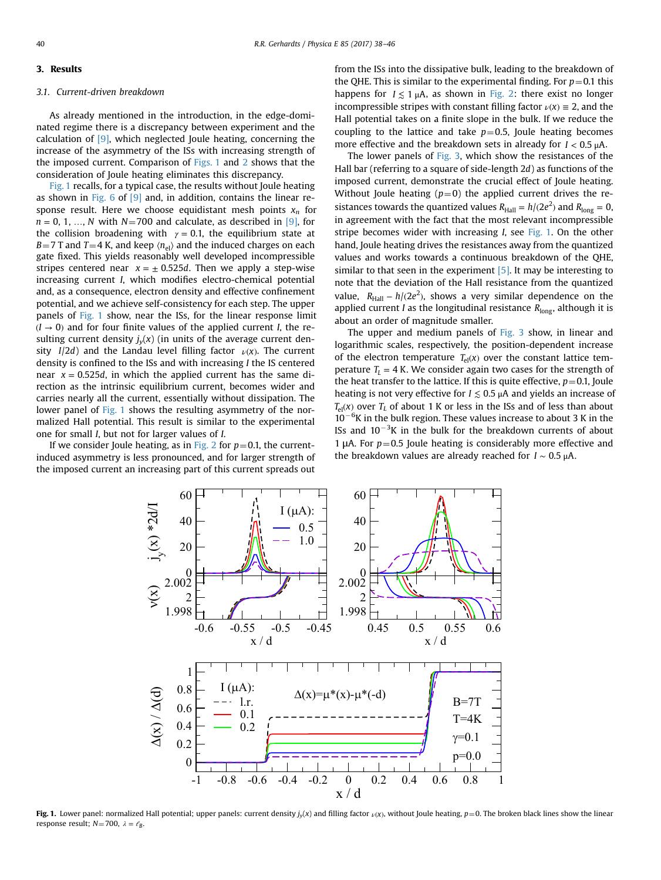#### <span id="page-2-0"></span>3. Results

#### 3.1. Current-driven breakdown

As already mentioned in the introduction, in the edge-dominated regime there is a discrepancy between experiment and the calculation of [\[9\]](#page-8-0), which neglected Joule heating, concerning the increase of the asymmetry of the ISs with increasing strength of the imposed current. Comparison of Figs. 1 and [2](#page-3-0) shows that the consideration of Joule heating eliminates this discrepancy.

Fig. 1 recalls, for a typical case, the results without Joule heating as shown in [Fig. 6](#page-5-0) of  $[9]$  and, in addition, contains the linear response result. Here we choose equidistant mesh points  $x_n$  for  $n = 0, 1, ..., N$  with  $N = 700$  and calculate, as described in [\[9\]](#page-8-0), for the collision broadening with  $\gamma = 0.1$ , the equilibrium state at  $B = 7$  T and T = 4 K, and keep  $\langle n_{el} \rangle$  and the induced charges on each gate fixed. This yields reasonably well developed incompressible stripes centered near  $x = \pm 0.525d$ . Then we apply a step-wise increasing current I, which modifies electro-chemical potential and, as a consequence, electron density and effective confinement potential, and we achieve self-consistency for each step. The upper panels of Fig. 1 show, near the ISs, for the linear response limit  $(I \rightarrow 0)$  and for four finite values of the applied current *I*, the resulting current density  $j_v(x)$  (in units of the average current density  $I/2d$ ) and the Landau level filling factor  $\nu(x)$ . The current density is confined to the ISs and with increasing I the IS centered near  $x = 0.525d$ , in which the applied current has the same direction as the intrinsic equilibrium current, becomes wider and carries nearly all the current, essentially without dissipation. The lower panel of Fig. 1 shows the resulting asymmetry of the normalized Hall potential. This result is similar to the experimental one for small I, but not for larger values of I.

If we consider Joule heating, as in [Fig. 2](#page-3-0) for  $p=0.1$ , the currentinduced asymmetry is less pronounced, and for larger strength of the imposed current an increasing part of this current spreads out from the ISs into the dissipative bulk, leading to the breakdown of the QHE. This is similar to the experimental finding. For  $p=0.1$  this happens for  $I \leq 1 \mu A$ , as shown in [Fig. 2](#page-3-0): there exist no longer incompressible stripes with constant filling factor  $\nu(x) \equiv 2$ , and the Hall potential takes on a finite slope in the bulk. If we reduce the coupling to the lattice and take  $p=0.5$ , Joule heating becomes more effective and the breakdown sets in already for  $I < 0.5 \mu A$ .

The lower panels of [Fig. 3,](#page-4-0) which show the resistances of the Hall bar (referring to a square of side-length 2*d*) as functions of the imposed current, demonstrate the crucial effect of Joule heating. Without Joule heating  $(p=0)$  the applied current drives the resistances towards the quantized values  $R_{\text{Hall}} = h/(2e^2)$  and  $R_{\text{long}} = 0$ , in agreement with the fact that the most relevant incompressible stripe becomes wider with increasing *I*, see Fig. 1. On the other hand, Joule heating drives the resistances away from the quantized values and works towards a continuous breakdown of the QHE, similar to that seen in the experiment  $[5]$ . It may be interesting to note that the deviation of the Hall resistance from the quantized value,  $R_{\text{Hall}} - h/(2e^2)$ , shows a very similar dependence on the applied current *I* as the longitudinal resistance  $R_{\text{long}}$ , although it is about an order of magnitude smaller.

The upper and medium panels of [Fig. 3](#page-4-0) show, in linear and logarithmic scales, respectively, the position-dependent increase of the electron temperature  $T_{el}(x)$  over the constant lattice temperature  $T_{\text{I}} = 4$  K. We consider again two cases for the strength of the heat transfer to the lattice. If this is quite effective,  $p=0.1$ , Joule heating is not very effective for  $I \leq 0.5 \mu A$  and yields an increase of  $T_{el}(x)$  over  $T_L$  of about 1 K or less in the ISs and of less than about  $10^{-6}$ K in the bulk region. These values increase to about 3 K in the ISs and  $10^{-3}$ K in the bulk for the breakdown currents of about 1  $\mu$ A. For  $p=0.5$  Joule heating is considerably more effective and the breakdown values are already reached for  $I \sim 0.5 \mu A$ .



Fig. 1. Lower panel: normalized Hall potential; upper panels: current density  $j_y(x)$  and filling factor  $\nu(x)$ , without Joule heating,  $p=0$ . The broken black lines show the linear response result;  $N=700$ ,  $\lambda = \ell_B$ .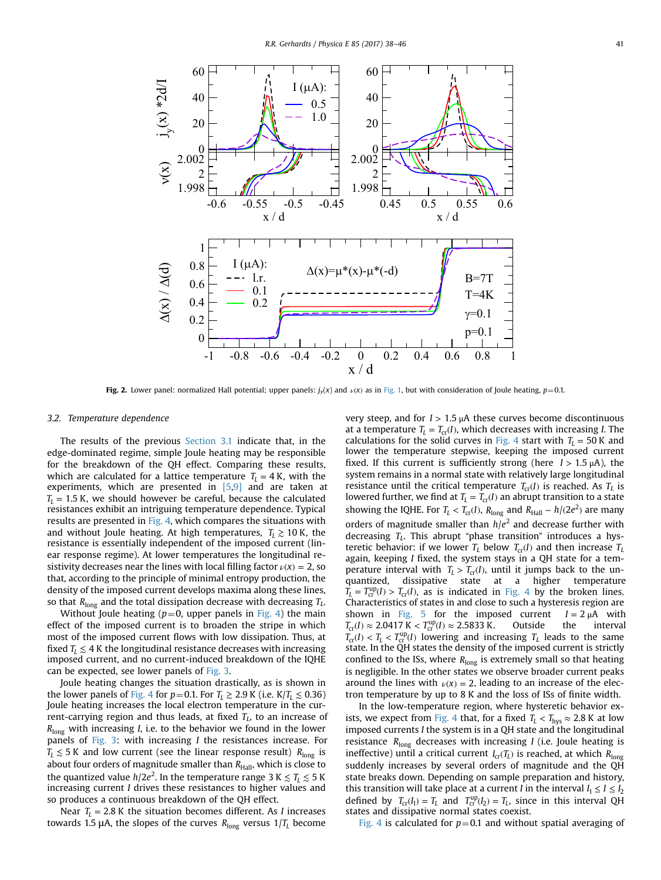<span id="page-3-0"></span>

Fig. 2. Lower panel: normalized Hall potential; upper panels:  $i_v(x)$  and  $v(x)$  as in [Fig. 1,](#page-2-0) but with consideration of Joule heating,  $p=0.1$ .

#### 3.2. Temperature dependence

The results of the previous [Section 3.1](#page-2-0) indicate that, in the edge-dominated regime, simple Joule heating may be responsible for the breakdown of the QH effect. Comparing these results, which are calculated for a lattice temperature  $T_L = 4$  K, with the experiments, which are presented in [\[5,9\]](#page-8-0) and are taken at  $T_l$  = 1.5 K, we should however be careful, because the calculated resistances exhibit an intriguing temperature dependence. Typical results are presented in [Fig. 4,](#page-5-0) which compares the situations with and without Joule heating. At high temperatures,  $T_L \geq 10$  K, the resistance is essentially independent of the imposed current (linear response regime). At lower temperatures the longitudinal resistivity decreases near the lines with local filling factor  $\nu(x) = 2$ , so that, according to the principle of minimal entropy production, the density of the imposed current develops maxima along these lines, so that  $R_{\text{long}}$  and the total dissipation decrease with decreasing  $T_L$ .

Without Joule heating ( $p=0$ , upper panels in [Fig. 4\)](#page-5-0) the main effect of the imposed current is to broaden the stripe in which most of the imposed current flows with low dissipation. Thus, at fixed  $T_L \leq 4$  K the longitudinal resistance decreases with increasing imposed current, and no current-induced breakdown of the IQHE can be expected, see lower panels of [Fig. 3](#page-4-0).

Joule heating changes the situation drastically, as is shown in the lower panels of [Fig. 4](#page-5-0) for  $p=0.1$ . For  $T<sub>L</sub> \ge 2.9$  K (i.e. K/ $T<sub>L</sub> \le 0.36$ ) Joule heating increases the local electron temperature in the current-carrying region and thus leads, at fixed  $T_L$ , to an increase of *R*<sub>long</sub> with increasing *I*, i.e. to the behavior we found in the lower panels of [Fig. 3:](#page-4-0) with increasing  $I$  the resistances increase. For  $T_L \lesssim 5$  K and low current (see the linear response result)  $R_{\text{long}}$  is about four orders of magnitude smaller than  $R_{\text{Hall}}$ , which is close to the quantized value  $h/2e^2.$  In the temperature range 3 K  $\lesssim T_{L} \lesssim$  5 K increasing current I drives these resistances to higher values and so produces a continuous breakdown of the QH effect.

Near  $T_L$  = 2.8 K the situation becomes different. As *I* increases towards 1.5  $\mu$ A, the slopes of the curves  $R_{\text{long}}$  versus  $1/T_L$  become very steep, and for  $I > 1.5 \mu A$  these curves become discontinuous at a temperature  $T_I = T_{cr}(I)$ , which decreases with increasing *I*. The calculations for the solid curves in [Fig. 4](#page-5-0) start with  $T_l = 50$  K and lower the temperature stepwise, keeping the imposed current fixed. If this current is sufficiently strong (here  $I > 1.5 \mu A$ ), the system remains in a normal state with relatively large longitudinal resistance until the critical temperature  $T_{cr}(I)$  is reached. As  $T_L$  is lowered further, we find at  $T_L = T_{cr}(I)$  an abrupt transition to a state showing the IQHE. For  $T_L < T_{cr}(I)$ ,  $R_{long}$  and  $R_{Hall} - h/(2e^2)$  are many orders of magnitude smaller than *h*/*e*<sup>2</sup> and decrease further with decreasing  $T_L$ . This abrupt "phase transition" introduces a hysteretic behavior: if we lower  $T_L$  below  $T_{cr}(I)$  and then increase  $T_L$ again, keeping I fixed, the system stays in a QH state for a temperature interval with  $T_L > T_{cr}(I)$ , until it jumps back to the un-<br>quantized, dissipative state at a higher temperature quantized, dissipative state at a higher  $T_L = T_{cr}^{up}(I) > T_{cr}(I)$ , as is indicated in [Fig. 4](#page-5-0) by the broken lines. Characteristics of states in and close to such a hysteresis region are shown in [Fig. 5](#page-5-0) for the imposed current  $I = 2 \mu A$  with  $T_{cr}(I) \approx 2.0417 \text{ K} < T_{cr}^{\text{up}}(I) \approx 2.5833 \text{ K}$ . Outside the interval  $T_{cr}(I) < T_L < T_{cr}^{\text{up}}(I)$  lowering and increasing  $T_L$  leads to the same state. In the QH states the density of the imposed current is strictly confined to the ISs, where  $R_{\text{long}}$  is extremely small so that heating is negligible. In the other states we observe broader current peaks around the lines with  $\nu(x) = 2$ , leading to an increase of the electron temperature by up to 8 K and the loss of ISs of finite width.

In the low-temperature region, where hysteretic behavior ex-ists, we expect from [Fig. 4](#page-5-0) that, for a fixed  $T_L < T_{\text{hvs}} \approx 2.8 \text{ K}$  at low imposed currents I the system is in a QH state and the longitudinal resistance  $R_{\text{long}}$  decreases with increasing *I* (i.e. Joule heating is ineffective) until a critical current  $I_{cr}(T_L)$  is reached, at which  $R_{long}$ suddenly increases by several orders of magnitude and the QH state breaks down. Depending on sample preparation and history, this transition will take place at a current *I* in the interval  $I_1 \leq I \leq I_2$ defined by  $T_{cr}(I_1) = T_L$  and  $T_{cr}^{up}(I_2) = T_L$ , since in this interval QH states and dissipative normal states coexist.

[Fig. 4](#page-5-0) is calculated for  $p=0.1$  and without spatial averaging of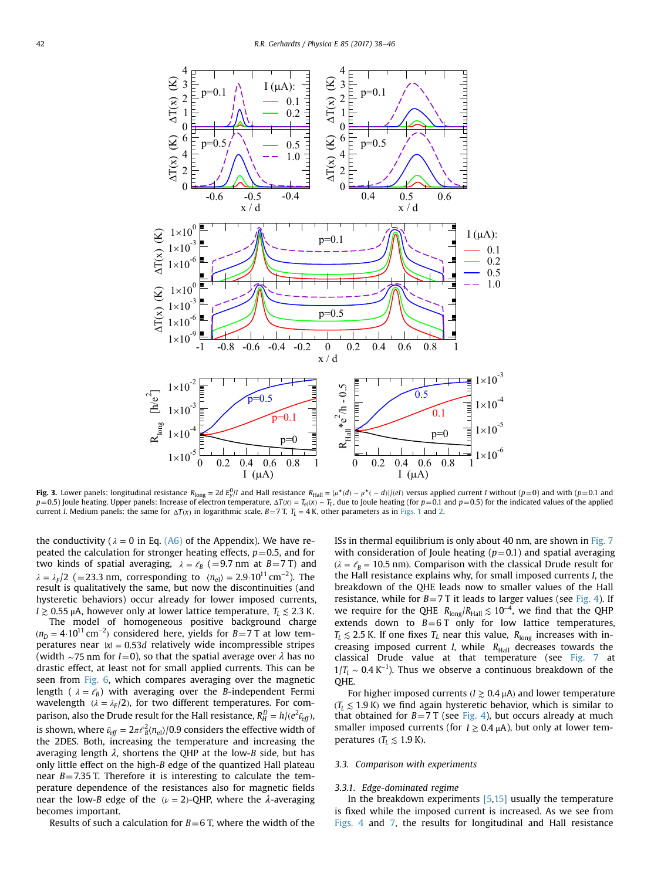<span id="page-4-0"></span>

**Fig. 3.** Lower panels: longitudinal resistance  $R_{long} = 2d E_y^0/I$  and Hall resistance  $R_{Hall} = [\mu^{\star}(d) - \mu^{\star}(-d)]/(el)$  versus applied current I without (p=0) and with (p=0.1 and  $p$ =0.5) Joule heating. Upper panels: Increase of electron temperature,  $\Delta T(x) = T_{\rm el}(x) - T_{\rm L}$ , due to Joule heating (for  $p$ =0.1 and  $p$ =0.5) for the indicated values of the applied current *I*. Medium panels: the same for  $\Delta T(x)$  in logarithmic scale.  $B = 7$  T,  $T_L = 4$  K, other parameters as in [Figs. 1](#page-2-0) and [2](#page-3-0).

the conductivity ( $\lambda = 0$  in Eq. [\(A6\)](#page-8-0) of the Appendix). We have repeated the calculation for stronger heating effects,  $p=0.5$ , and for two kinds of spatial averaging,  $\lambda = \ell_B$  (=9.7 nm at B=7 T) and  $\lambda = \lambda_F/2$  (=23.3 nm, corresponding to  $\langle n_{el} \rangle = 2.9 \cdot 10^{11} \text{ cm}^{-2}$ ). The result is qualitatively the same, but now the discontinuities (and hysteretic behaviors) occur already for lower imposed currents,  $I \geq 0.55$   $\mu$ A, however only at lower lattice temperature,  $T_I \leq 2.3$  K. The model of homogeneous positive background charge  $(n_D = 4.10^{11} \text{ cm}^{-2})$  considered here, yields for B=7T at low temperatures near  $|x| = 0.53d$  relatively wide incompressible stripes (width  $\sim$ 75 nm for I=0), so that the spatial average over  $\lambda$  has no drastic effect, at least not for small applied currents. This can be seen from [Fig. 6,](#page-5-0) which compares averaging over the magnetic length ( $\lambda = \ell_B$ ) with averaging over the *B*-independent Fermi wavelength ( $\lambda = \lambda_F/2$ ), for two different temperatures. For comparison, also the Drude result for the Hall resistance,  $R_H^D = h / (e^2 \bar{\nu}_{\rm eff} )$ , is shown, where  $\bar{\nu}_{\rm eff} = 2\pi \ell_{\rm B}^2\langle n_{\rm el}\rangle/0.9$  considers the effective width of the 2DES. Both, increasing the temperature and increasing the averaging length  $\lambda$ , shortens the QHP at the low-B side, but has only little effect on the high-B edge of the quantized Hall plateau near  $B = 7.35$  T. Therefore it is interesting to calculate the temperature dependence of the resistances also for magnetic fields near the low-B edge of the  $(\nu = 2)$ -QHP, where the  $\lambda$ -averaging becomes important.

Results of such a calculation for  $B=6$  T, where the width of the

ISs in thermal equilibrium is only about 40 nm, are shown in [Fig. 7](#page-6-0) with consideration of Joule heating  $(p=0.1)$  and spatial averaging  $(\lambda = \ell_B = 10.5$  nm). Comparison with the classical Drude result for the Hall resistance explains why, for small imposed currents I, the breakdown of the QHE leads now to smaller values of the Hall resistance, while for  $B=7$  T it leads to larger values (see [Fig. 4\)](#page-5-0). If we require for the QHE  $R_{long}/R_{Hall} \lesssim 10^{-4}$ , we find that the QHP extends down to  $B=6$  T only for low lattice temperatures,  $T_L \lesssim 2.5$  K. If one fixes  $T_L$  near this value,  $R_{long}$  increases with increasing imposed current *I*, while  $R_{\text{Hall}}$  decreases towards the classical Drude value at that temperature (see [Fig. 7](#page-6-0) at  $1/T_L \sim 0.4 \text{ K}^{-1}$ ). Thus we observe a continuous breakdown of the QHE.

For higher imposed currents ( $I \ge 0.4 \mu$ A) and lower temperature  $(T_L \lesssim 1.9 \text{ K})$  we find again hysteretic behavior, which is similar to that obtained for  $B=7$  T (see [Fig. 4\)](#page-5-0), but occurs already at much smaller imposed currents (for  $I \geq 0.4 \mu$ A), but only at lower temperatures ( $T_L \lesssim 1.9$  K).

## 3.3. Comparison with experiments

## 3.3.1. Edge-dominated regime

In the breakdown experiments [\[5,15\]](#page-8-0) usually the temperature is fixed while the imposed current is increased. As we see from [Figs. 4](#page-5-0) and [7](#page-6-0), the results for longitudinal and Hall resistance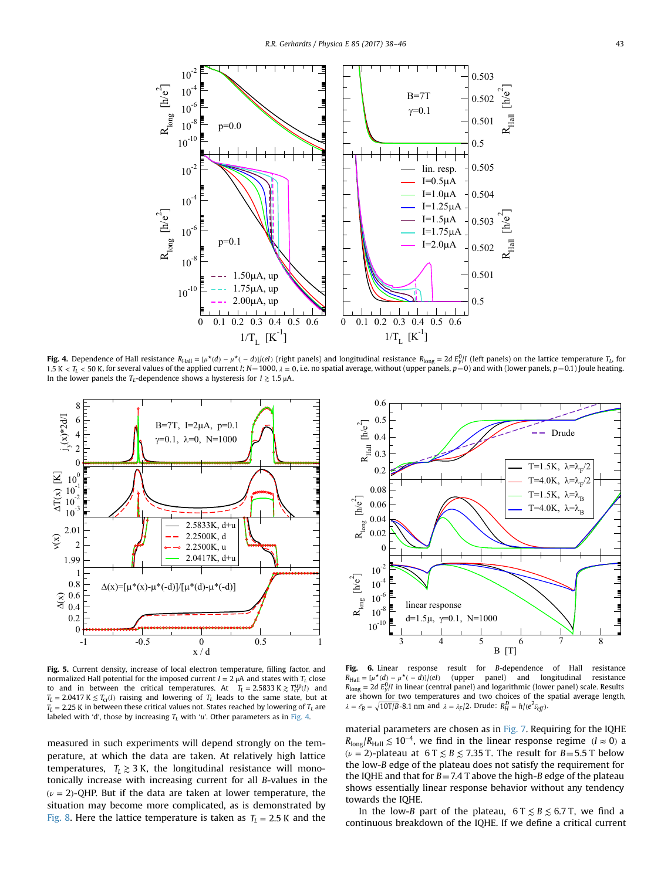<span id="page-5-0"></span>

**Fig. 4.** Dependence of Hall resistance  $R_{\text{Hall}} = [\mu^{\star}(d) - \mu^{\star}(-d)]/eI)$  (right panels) and longitudinal resistance  $R_{\text{long}} = 2d\,E_y^0/I$  (left panels) on the lattice temperature  $T_L$ , for 1.5 K <  $T_L$  < 50 K, for several values of the applied current *I*; N=1000,  $\lambda = 0$ , i.e. no spatial average, without (upper panels,  $p=0$ ) and with (lower panels,  $p=0.1$ ) Joule heating. In the lower panels the  $T_L$ -dependence shows a hysteresis for  $I \geq 1.5 \mu A$ .



Fig. 5. Current density, increase of local electron temperature, filling factor, and normalized Hall potential for the imposed current  $I = 2 \mu A$  and states with  $T_L$  close to and in between the critical temperatures. At  $T_L = 2.5833 \text{ K} \gtrsim T_{\text{cr}}^{\text{up}}(I)$  and  $T_L$  = 2.0417 K  $\leq T_{cr}(I)$  raising and lowering of  $T_L$  leads to the same state, but at  $T_L$  = 2.25 K in between these critical values not. States reached by lowering of  $T_L$  are labeled with 'd', those by increasing  $T_L$  with 'u'. Other parameters as in Fig. 4.

measured in such experiments will depend strongly on the temperature, at which the data are taken. At relatively high lattice temperatures,  $T_L \geq 3$  K, the longitudinal resistance will monotonically increase with increasing current for all B-values in the  $(\nu = 2)$ -QHP. But if the data are taken at lower temperature, the situation may become more complicated, as is demonstrated by [Fig. 8](#page-6-0). Here the lattice temperature is taken as  $T_L = 2.5$  K and the



Fig. 6. Linear response result for B-dependence of Hall resistance  $R_{\text{Hall}} = [\mu^{\star}(d) - \mu^{\star}(-d)]/(el)$  (upper panel) and longitudinal resistance  $R_{\text{long}} = 2d E_y^0/I$  in linear (central panel) and logarithmic (lower panel) scale. Results are shown for two temperatures and two choices of the spatial average length,  $\lambda = \ell_B = \sqrt{10T/B} \cdot 8.1$  nm and  $\lambda = \lambda_F/2$ . Drude:  $R_H^D = h/(e^2 \bar{\nu}_{eff})$ .

material parameters are chosen as in [Fig. 7](#page-6-0). Requiring for the IQHE  $R_{\text{long}}/R_{\text{Hall}} \lesssim 10^{-4}$ , we find in the linear response regime ( $I \approx 0$ ) a ( $\nu$  = 2)-plateau at 6 T  $\leq$  *B*  $\leq$  7.35 T. The result for *B*=5.5 T below the low-B edge of the plateau does not satisfy the requirement for the IQHE and that for  $B = 7.4$  T above the high-B edge of the plateau shows essentially linear response behavior without any tendency towards the IQHE.

In the low-*B* part of the plateau,  $6T \leq B \leq 6.7$  T, we find a continuous breakdown of the IQHE. If we define a critical current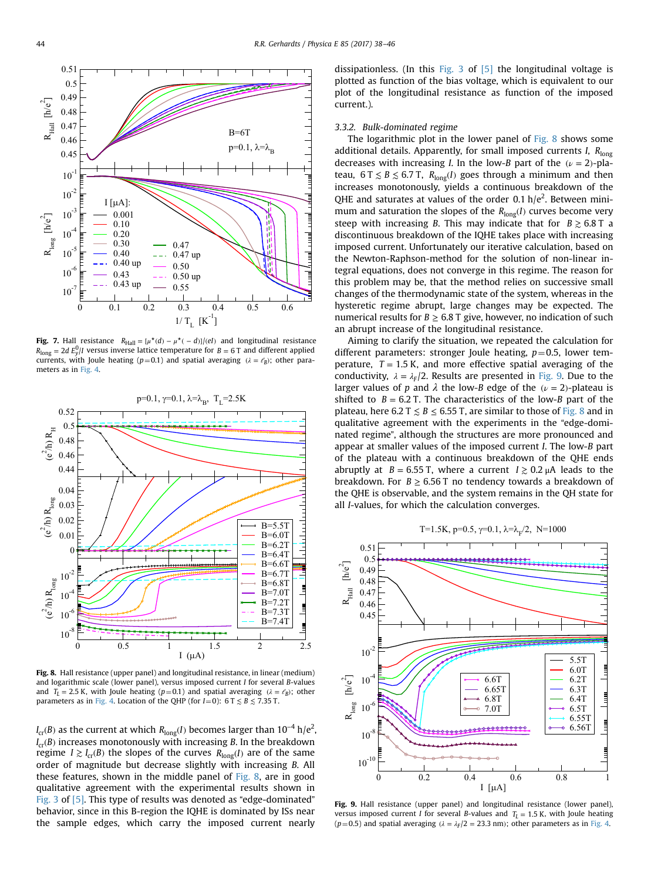<span id="page-6-0"></span>

Fig. 7. Hall resistance  $R_{\text{Hall}} = [\mu^*(d) - \mu^*(-d)]/(el)$  and longitudinal resistance  $R_{\text{long}} = 2d \ E_{y}^{0}$ *I* versus inverse lattice temperature for  $B = 6$  T and different applied currents, with Joule heating ( $p=0.1$ ) and spatial averaging ( $\lambda = \ell_B$ ); other parameters as in [Fig. 4.](#page-5-0)



Fig. 8. Hall resistance (upper panel) and longitudinal resistance, in linear (medium) and logarithmic scale (lower panel), versus imposed current I for several B-values and *T*<sub>L</sub> = 2.5 K, with Joule heating ( $p$  = 0.1) and spatial averaging ( $\lambda = \ell_B$ ); other parameters as in [Fig. 4](#page-5-0). Location of the QHP (for  $I=0$ ):  $6T \le B \le 7.35$  T.

 $I_{\rm cr}(B)$  as the current at which  $R_{\rm long}(I)$  becomes larger than 10<sup>-4</sup> h/e<sup>2</sup>,  $I_{cr}(B)$  increases monotonously with increasing B. In the breakdown regime  $I \gtrsim I_{cr}(B)$  the slopes of the curves  $R_{long}(I)$  are of the same order of magnitude but decrease slightly with increasing B. All these features, shown in the middle panel of Fig. 8, are in good qualitative agreement with the experimental results shown in [Fig. 3](#page-4-0) of [\[5\].](#page-8-0) This type of results was denoted as "edge-dominated" behavior, since in this B-region the IQHE is dominated by ISs near the sample edges, which carry the imposed current nearly

dissipationless. (In this [Fig. 3](#page-4-0) of  $[5]$  the longitudinal voltage is plotted as function of the bias voltage, which is equivalent to our plot of the longitudinal resistance as function of the imposed current.).

#### 3.3.2. Bulk-dominated regime

The logarithmic plot in the lower panel of Fig. 8 shows some additional details. Apparently, for small imposed currents  $I$ ,  $R_{long}$ decreases with increasing *I*. In the low-*B* part of the  $(\nu = 2)$ -plateau,  $6T \leq B \leq 6.7$  T,  $R_{long}(I)$  goes through a minimum and then increases monotonously, yields a continuous breakdown of the QHE and saturates at values of the order  $0.1$  h/e<sup>2</sup>. Between minimum and saturation the slopes of the  $R_{long}(I)$  curves become very steep with increasing *B*. This may indicate that for  $B \ge 6.8$  T a discontinuous breakdown of the IQHE takes place with increasing imposed current. Unfortunately our iterative calculation, based on the Newton-Raphson-method for the solution of non-linear integral equations, does not converge in this regime. The reason for this problem may be, that the method relies on successive small changes of the thermodynamic state of the system, whereas in the hysteretic regime abrupt, large changes may be expected. The numerical results for  $B \ge 6.8$  T give, however, no indication of such an abrupt increase of the longitudinal resistance.

Aiming to clarify the situation, we repeated the calculation for different parameters: stronger Joule heating,  $p=0.5$ , lower temperature,  $T = 1.5$  K, and more effective spatial averaging of the conductivity,  $\lambda = \lambda_F/2$ . Results are presented in Fig. 9. Due to the larger values of p and  $\lambda$  the low-B edge of the  $(\nu = 2)$ -plateau is shifted to  $B = 6.2$  T. The characteristics of the low-B part of the plateau, here  $6.2$  T  $\leq B \leq 6.55$  T, are similar to those of Fig. 8 and in qualitative agreement with the experiments in the "edge-dominated regime", although the structures are more pronounced and appear at smaller values of the imposed current I. The low-B part of the plateau with a continuous breakdown of the QHE ends abruptly at *B* = 6.55 T, where a current  $I \ge 0.2 \mu A$  leads to the breakdown. For  $B \geq 6.56$  T no tendency towards a breakdown of the QHE is observable, and the system remains in the QH state for all I-values, for which the calculation converges.



Fig. 9. Hall resistance (upper panel) and longitudinal resistance (lower panel), versus imposed current *I* for several *B*-values and  $T_L = 1.5$  K, with Joule heating ( $p=0.5$ ) and spatial averaging ( $\lambda = \lambda_F / 2 = 23.3$  nm); other parameters as in [Fig. 4.](#page-5-0)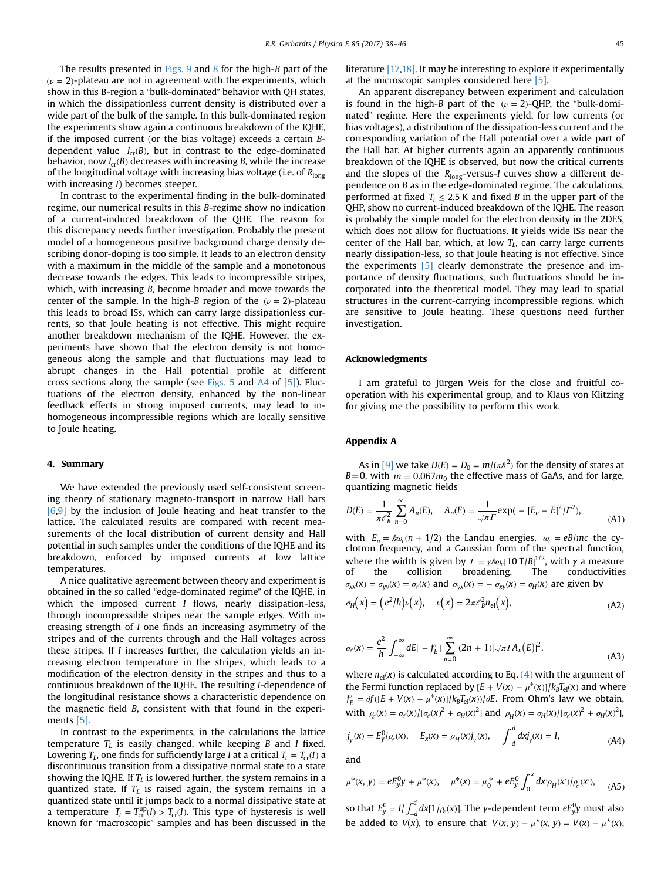The results presented in [Figs. 9](#page-6-0) and [8](#page-6-0) for the high-B part of the  $(\nu = 2)$ -plateau are not in agreement with the experiments, which show in this B-region a "bulk-dominated" behavior with QH states, in which the dissipationless current density is distributed over a wide part of the bulk of the sample. In this bulk-dominated region the experiments show again a continuous breakdown of the IQHE, if the imposed current (or the bias voltage) exceeds a certain Bdependent value  $I_{cr}(B)$ , but in contrast to the edge-dominated behavior, now  $I_{cr}(B)$  decreases with increasing B, while the increase of the longitudinal voltage with increasing bias voltage (i.e. of R<sub>long</sub> with increasing *I*) becomes steeper.

In contrast to the experimental finding in the bulk-dominated regime, our numerical results in this B-regime show no indication of a current-induced breakdown of the QHE. The reason for this discrepancy needs further investigation. Probably the present model of a homogeneous positive background charge density describing donor-doping is too simple. It leads to an electron density with a maximum in the middle of the sample and a monotonous decrease towards the edges. This leads to incompressible stripes, which, with increasing B, become broader and move towards the center of the sample. In the high-B region of the  $(\nu = 2)$ -plateau this leads to broad ISs, which can carry large dissipationless currents, so that Joule heating is not effective. This might require another breakdown mechanism of the IQHE. However, the experiments have shown that the electron density is not homogeneous along the sample and that fluctuations may lead to abrupt changes in the Hall potential profile at different cross sections along the sample (see [Figs. 5](#page-5-0) and A4 of [\[5\]\)](#page-8-0). Fluctuations of the electron density, enhanced by the non-linear feedback effects in strong imposed currents, may lead to inhomogeneous incompressible regions which are locally sensitive to Joule heating.

#### 4. Summary

We have extended the previously used self-consistent screening theory of stationary magneto-transport in narrow Hall bars [\[6,9\]](#page-8-0) by the inclusion of Joule heating and heat transfer to the lattice. The calculated results are compared with recent measurements of the local distribution of current density and Hall potential in such samples under the conditions of the IQHE and its breakdown, enforced by imposed currents at low lattice temperatures.

A nice qualitative agreement between theory and experiment is obtained in the so called "edge-dominated regime" of the IQHE, in which the imposed current  $I$  flows, nearly dissipation-less, through incompressible stripes near the sample edges. With increasing strength of I one finds an increasing asymmetry of the stripes and of the currents through and the Hall voltages across these stripes. If I increases further, the calculation yields an increasing electron temperature in the stripes, which leads to a modification of the electron density in the stripes and thus to a continuous breakdown of the IQHE. The resulting I-dependence of the longitudinal resistance shows a characteristic dependence on the magnetic field B, consistent with that found in the experiments [\[5\]](#page-8-0).

In contrast to the experiments, in the calculations the lattice temperature  $T_L$  is easily changed, while keeping B and I fixed. Lowering  $T_L$ , one finds for sufficiently large *I* at a critical  $T_L = T_{cr}(I)$  a discontinuous transition from a dissipative normal state to a state showing the IQHE. If  $T_L$  is lowered further, the system remains in a quantized state. If  $T_L$  is raised again, the system remains in a quantized state until it jumps back to a normal dissipative state at a temperature  $T_L = T_{cr}^{\text{up}}(I) > T_{cr}(I)$ . This type of hysteresis is well known for "macroscopic" samples and has been discussed in the literature [\[17,18\]](#page-8-0). It may be interesting to explore it experimentally at the microscopic samples considered here [\[5\].](#page-8-0)

An apparent discrepancy between experiment and calculation is found in the high-*B* part of the  $(\nu = 2)$ -QHP, the "bulk-dominated" regime. Here the experiments yield, for low currents (or bias voltages), a distribution of the dissipation-less current and the corresponding variation of the Hall potential over a wide part of the Hall bar. At higher currents again an apparently continuous breakdown of the IQHE is observed, but now the critical currents and the slopes of the *R*<sub>long</sub>-versus-*I* curves show a different dependence on B as in the edge-dominated regime. The calculations, performed at fixed  $T_L \leq 2.5$  K and fixed *B* in the upper part of the QHP, show no current-induced breakdown of the IQHE. The reason is probably the simple model for the electron density in the 2DES, which does not allow for fluctuations. It yields wide ISs near the center of the Hall bar, which, at low  $T_L$ , can carry large currents nearly dissipation-less, so that Joule heating is not effective. Since the experiments [\[5\]](#page-8-0) clearly demonstrate the presence and importance of density fluctuations, such fluctuations should be incorporated into the theoretical model. They may lead to spatial structures in the current-carrying incompressible regions, which are sensitive to Joule heating. These questions need further investigation.

#### Acknowledgments

I am grateful to Jürgen Weis for the close and fruitful cooperation with his experimental group, and to Klaus von Klitzing for giving me the possibility to perform this work.

### Appendix A

As in [\[9\]](#page-8-0) we take  $D(E) = D_0 = m/(\pi \hbar^2)$  for the density of states at  $B=0$ , with  $m = 0.067 m<sub>0</sub>$  the effective mass of GaAs, and for large, quantizing magnetic fields

$$
D(E) = \frac{1}{\pi \ell_B^2} \sum_{n=0}^{\infty} A_n(E), \quad A_n(E) = \frac{1}{\sqrt{\pi} \Gamma} \exp(-\left[E_n - E\right]^2 / \Gamma^2), \tag{A1}
$$

with  $E_n = \hbar \omega_c (n + 1/2)$  the Landau energies,  $\omega_c = eB/mc$  the cyclotron frequency, and a Gaussian form of the spectral function, where the width is given by  $\Gamma = \gamma \hbar \omega_c [10 \text{ T/B}]^{1/2}$ , with  $\gamma$  a measure of the collision broadening. The conductivities conductivities  $\sigma_{xx}(x) = \sigma_{yy}(x) = \sigma_{e}(x)$  and  $\sigma_{yx}(x) = -\sigma_{xy}(x) = \sigma_{H}(x)$  are given by

$$
\sigma_H(x) = (e^2/h)\nu(x), \quad \nu(x) = 2\pi \ell_B^2 n_{\rm el}(x), \tag{A2}
$$

$$
\sigma_{e}(x) = \frac{e^{2}}{h} \int_{-\infty}^{\infty} dE[-f_{E}'] \sum_{n=0}^{\infty} (2n+1) [\sqrt{\pi} I A_{n}(E)]^{2}, \tag{A3}
$$

where  $n_{el}(x)$  is calculated according to Eq. [\(4\)](#page-1-0) with the argument of the Fermi function replaced by  $[E + V(x) - \mu^*(x)]/k_B T_{el}(x)$  and where  $f'_E = \partial f([E + V(x) - \mu^*(x)] / k_B T_{el}(x) / \partial E$ . From Ohm's law we obtain, with  $\rho_e(x) = \frac{\sigma_e(x)}{[\sigma_e(x)^2 + \sigma_H(x)^2]}$  and  $\rho_H(x) = \frac{\sigma_H(x)}{[\sigma_e(x)^2 + \sigma_H(x)^2]}$ ,

$$
j_y(x) = E_y^0 / \rho_e(x),
$$
  $E_x(x) = \rho_H(x) j_y(x),$   $\int_{-d}^{d} dx j_y(x) = I,$  (A4)

and

$$
\mu^*(x, y) = e E_y^0 y + \mu^*(x), \quad \mu^*(x) = \mu_0^* + e E_y^0 \int_0^x dx' \rho_H(x') / \rho_e(x'), \quad (A5)
$$

so that  $E_y^0 = I / \int_{-d}^{d} dx [1/\rho_{e}(x)]$ . The y-dependent term  $e E_y^0 y$  must also be added to  $V(x)$ , to ensure that  $V(x, y) - \mu^*(x, y) = V(x) - \mu^*(x)$ ,